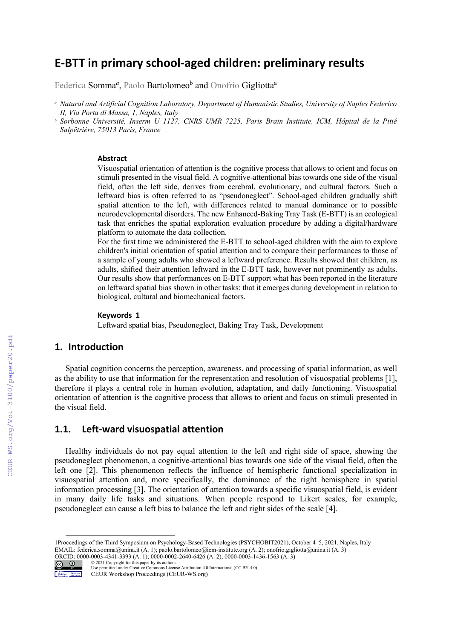# **E-BTT in primary school-aged children: preliminary results**

Federica Somma<sup>a</sup>, Paolo Bartolomeo<sup>b</sup> and Onofrio Gigliotta<sup>a</sup>

- *<sup>a</sup> Natural and Artificial Cognition Laboratory, Department of Humanistic Studies, University of Naples Federico II, Via Porta di Massa, 1, Naples, Italy*
- *<sup>b</sup> Sorbonne Université, Inserm U 1127, CNRS UMR 7225, Paris Brain Institute, ICM, Hôpital de la Pitié Salpêtrière, 75013 Paris, France*

#### **Abstract**

Visuospatial orientation of attention is the cognitive process that allows to orient and focus on stimuli presented in the visual field. A cognitive-attentional bias towards one side of the visual field, often the left side, derives from cerebral, evolutionary, and cultural factors. Such a leftward bias is often referred to as "pseudoneglect". School-aged children gradually shift spatial attention to the left, with differences related to manual dominance or to possible neurodevelopmental disorders. The new Enhanced-Baking Tray Task (E-BTT) is an ecological task that enriches the spatial exploration evaluation procedure by adding a digital/hardware platform to automate the data collection.

For the first time we administered the E-BTT to school-aged children with the aim to explore children's initial orientation of spatial attention and to compare their performances to those of a sample of young adults who showed a leftward preference. Results showed that children, as adults, shifted their attention leftward in the E-BTT task, however not prominently as adults. Our results show that performances on E-BTT support what has been reported in the literature on leftward spatial bias shown in other tasks: that it emerges during development in relation to biological, cultural and biomechanical factors.

#### **Keywords 1**

Leftward spatial bias, Pseudoneglect, Baking Tray Task, Development

# **1. Introduction**

Spatial cognition concerns the perception, awareness, and processing of spatial information, as well as the ability to use that information for the representation and resolution of visuospatial problems [1], therefore it plays a central role in human evolution, adaptation, and daily functioning. Visuospatial orientation of attention is the cognitive process that allows to orient and focus on stimuli presented in the visual field.

# **1.1. Left-ward visuospatial attention**

Healthy individuals do not pay equal attention to the left and right side of space, showing the pseudoneglect phenomenon, a cognitive-attentional bias towards one side of the visual field, often the left one [2]. This phenomenon reflects the influence of hemispheric functional specialization in visuospatial attention and, more specifically, the dominance of the right hemisphere in spatial information processing [3]. The orientation of attention towards a specific visuospatial field, is evident in many daily life tasks and situations. When people respond to Likert scales, for example, pseudoneglect can cause a left bias to balance the left and right sides of the scale [4].

ORCID: 0000-0003-4341-3393 (A. 1); 0000-0002-2640-6426 (A. 2); 0000-0003-1436-1563 (A. 3)<br>  $\odot$  0 2221 Copyright for this paper by its authors. ©️ 2021 Copyright for this paper by its authors. Use permitted under Creative Commons License Attribution 4.0 International (CC BY 4.0).



CEUR Workshop Proceedings (CEUR-WS.org)

<sup>1</sup>Proccedings of the Third Symposium on Psychology-Based Technologies (PSYCHOBIT2021), October 4–5, 2021, Naples, Italy EMAIL: federica.somma@unina.it (A. 1); paolo.bartolomeo@icm-institute.org (A. 2); onofrio.gigliotta@unina.it (A. 3)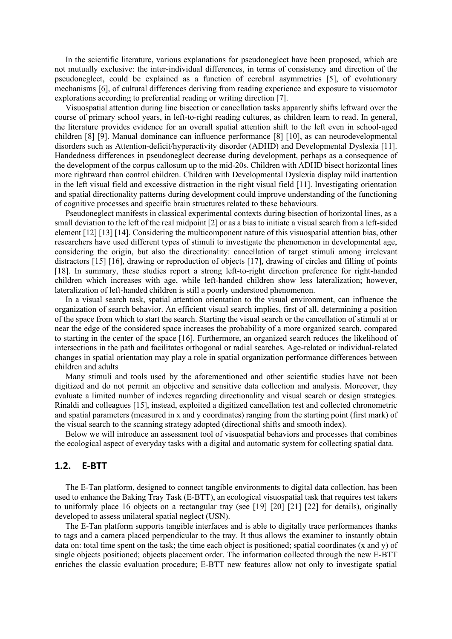In the scientific literature, various explanations for pseudoneglect have been proposed, which are not mutually exclusive: the inter-individual differences, in terms of consistency and direction of the pseudoneglect, could be explained as a function of cerebral asymmetries [5], of evolutionary mechanisms [6], of cultural differences deriving from reading experience and exposure to visuomotor explorations according to preferential reading or writing direction [7].

Visuospatial attention during line bisection or cancellation tasks apparently shifts leftward over the course of primary school years, in left-to-right reading cultures, as children learn to read. In general, the literature provides evidence for an overall spatial attention shift to the left even in school-aged children [8] [9]. Manual dominance can influence performance [8] [10], as can neurodevelopmental disorders such as Attention-deficit/hyperactivity disorder (ADHD) and Developmental Dyslexia [11]. Handedness differences in pseudoneglect decrease during development, perhaps as a consequence of the development of the corpus callosum up to the mid-20s. Children with ADHD bisect horizontal lines more rightward than control children. Children with Developmental Dyslexia display mild inattention in the left visual field and excessive distraction in the right visual field [11]. Investigating orientation and spatial directionality patterns during development could improve understanding of the functioning of cognitive processes and specific brain structures related to these behaviours.

Pseudoneglect manifests in classical experimental contexts during bisection of horizontal lines, as a small deviation to the left of the real midpoint [2] or as a bias to initiate a visual search from a left-sided element [12] [13] [14]. Considering the multicomponent nature of this visuospatial attention bias, other researchers have used different types of stimuli to investigate the phenomenon in developmental age, considering the origin, but also the directionality: cancellation of target stimuli among irrelevant distractors [15] [16], drawing or reproduction of objects [17], drawing of circles and filling of points [18]. In summary, these studies report a strong left-to-right direction preference for right-handed children which increases with age, while left-handed children show less lateralization; however, lateralization of left-handed children is still a poorly understood phenomenon.

In a visual search task, spatial attention orientation to the visual environment, can influence the organization of search behavior. An efficient visual search implies, first of all, determining a position of the space from which to start the search. Starting the visual search or the cancellation of stimuli at or near the edge of the considered space increases the probability of a more organized search, compared to starting in the center of the space [16]. Furthermore, an organized search reduces the likelihood of intersections in the path and facilitates orthogonal or radial searches. Age-related or individual-related changes in spatial orientation may play a role in spatial organization performance differences between children and adults

Many stimuli and tools used by the aforementioned and other scientific studies have not been digitized and do not permit an objective and sensitive data collection and analysis. Moreover, they evaluate a limited number of indexes regarding directionality and visual search or design strategies. Rinaldi and colleagues [15], instead, exploited a digitized cancellation test and collected chronometric and spatial parameters (measured in x and y coordinates) ranging from the starting point (first mark) of the visual search to the scanning strategy adopted (directional shifts and smooth index).

Below we will introduce an assessment tool of visuospatial behaviors and processes that combines the ecological aspect of everyday tasks with a digital and automatic system for collecting spatial data.

# **1.2. E-BTT**

The E-Tan platform, designed to connect tangible environments to digital data collection, has been used to enhance the Baking Tray Task (E-BTT), an ecological visuospatial task that requires test takers to uniformly place 16 objects on a rectangular tray (see [19] [20] [21] [22] for details), originally developed to assess unilateral spatial neglect (USN).

The E-Tan platform supports tangible interfaces and is able to digitally trace performances thanks to tags and a camera placed perpendicular to the tray. It thus allows the examiner to instantly obtain data on: total time spent on the task; the time each object is positioned; spatial coordinates (x and y) of single objects positioned; objects placement order. The information collected through the new E-BTT enriches the classic evaluation procedure; E-BTT new features allow not only to investigate spatial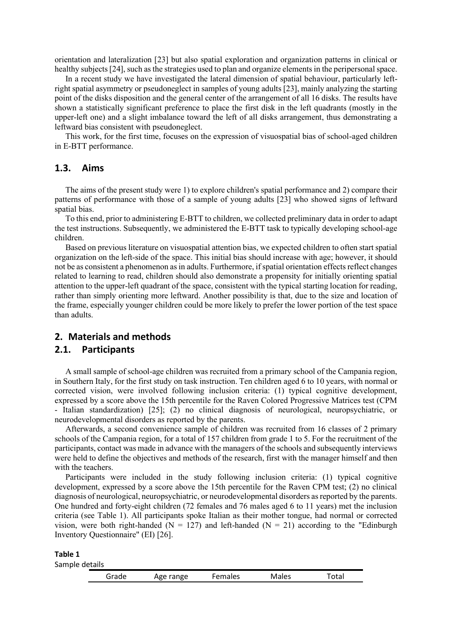orientation and lateralization [23] but also spatial exploration and organization patterns in clinical or healthy subjects [24], such as the strategies used to plan and organize elements in the peripersonal space.

In a recent study we have investigated the lateral dimension of spatial behaviour, particularly leftright spatial asymmetry or pseudoneglect in samples of young adults [23], mainly analyzing the starting point of the disks disposition and the general center of the arrangement of all 16 disks. The results have shown a statistically significant preference to place the first disk in the left quadrants (mostly in the upper-left one) and a slight imbalance toward the left of all disks arrangement, thus demonstrating a leftward bias consistent with pseudoneglect.

This work, for the first time, focuses on the expression of visuospatial bias of school-aged children in E-BTT performance.

## **1.3. Aims**

The aims of the present study were 1) to explore children's spatial performance and 2) compare their patterns of performance with those of a sample of young adults [23] who showed signs of leftward spatial bias.

To this end, prior to administering E-BTT to children, we collected preliminary data in order to adapt the test instructions. Subsequently, we administered the E-BTT task to typically developing school-age children.

Based on previous literature on visuospatial attention bias, we expected children to often start spatial organization on the left-side of the space. This initial bias should increase with age; however, it should not be as consistent a phenomenon as in adults. Furthermore, if spatial orientation effects reflect changes related to learning to read, children should also demonstrate a propensity for initially orienting spatial attention to the upper-left quadrant of the space, consistent with the typical starting location for reading, rather than simply orienting more leftward. Another possibility is that, due to the size and location of the frame, especially younger children could be more likely to prefer the lower portion of the test space than adults.

# **2. Materials and methods**

# **2.1. Participants**

A small sample of school-age children was recruited from a primary school of the Campania region, in Southern Italy, for the first study on task instruction. Ten children aged 6 to 10 years, with normal or corrected vision, were involved following inclusion criteria: (1) typical cognitive development, expressed by a score above the 15th percentile for the Raven Colored Progressive Matrices test (CPM - Italian standardization) [25]; (2) no clinical diagnosis of neurological, neuropsychiatric, or neurodevelopmental disorders as reported by the parents.

Afterwards, a second convenience sample of children was recruited from 16 classes of 2 primary schools of the Campania region, for a total of 157 children from grade 1 to 5. For the recruitment of the participants, contact was made in advance with the managers of the schools and subsequently interviews were held to define the objectives and methods of the research, first with the manager himself and then with the teachers.

Participants were included in the study following inclusion criteria: (1) typical cognitive development, expressed by a score above the 15th percentile for the Raven CPM test; (2) no clinical diagnosis of neurological, neuropsychiatric, or neurodevelopmental disorders as reported by the parents. One hundred and forty-eight children (72 females and 76 males aged 6 to 11 years) met the inclusion criteria (see Table 1). All participants spoke Italian as their mother tongue, had normal or corrected vision, were both right-handed ( $N = 127$ ) and left-handed ( $N = 21$ ) according to the "Edinburgh Inventory Questionnaire" (EI) [26].

| Table 1        |       |           |                |       |       |
|----------------|-------|-----------|----------------|-------|-------|
| Sample details |       |           |                |       |       |
|                | Grade | Age range | <b>Females</b> | Males | Total |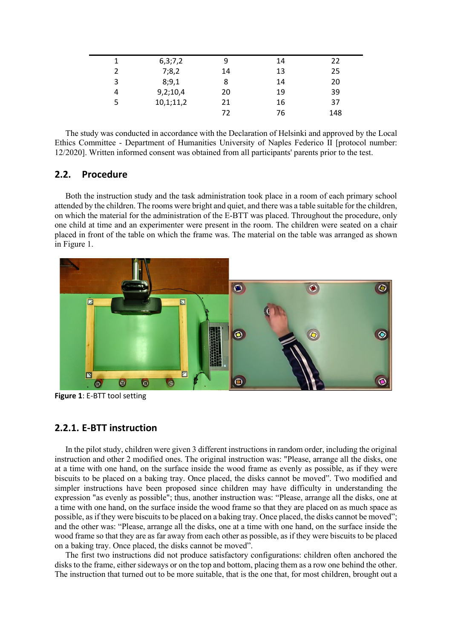| 1 | 6,3;7,2   | 9  | 14 | 22  |
|---|-----------|----|----|-----|
| 2 | 7;8,2     | 14 | 13 | 25  |
| 3 | 8;9,1     | 8  | 14 | 20  |
| 4 | 9,2;10,4  | 20 | 19 | 39  |
| 5 | 10,1;11,2 | 21 | 16 | 37  |
|   |           | 72 | 76 | 148 |

The study was conducted in accordance with the Declaration of Helsinki and approved by the Local Ethics Committee - Department of Humanities University of Naples Federico II [protocol number: 12/2020]. Written informed consent was obtained from all participants' parents prior to the test.

# **2.2. Procedure**

Both the instruction study and the task administration took place in a room of each primary school attended by the children. The rooms were bright and quiet, and there was a table suitable for the children, on which the material for the administration of the E-BTT was placed. Throughout the procedure, only one child at time and an experimenter were present in the room. The children were seated on a chair placed in front of the table on which the frame was. The material on the table was arranged as shown in Figure 1.



**Figure 1**: E-BTT tool setting

# **2.2.1. E-BTT instruction**

In the pilot study, children were given 3 different instructions in random order, including the original instruction and other 2 modified ones. The original instruction was: "Please, arrange all the disks, one at a time with one hand, on the surface inside the wood frame as evenly as possible, as if they were biscuits to be placed on a baking tray. Once placed, the disks cannot be moved". Two modified and simpler instructions have been proposed since children may have difficulty in understanding the expression "as evenly as possible"; thus, another instruction was: "Please, arrange all the disks, one at a time with one hand, on the surface inside the wood frame so that they are placed on as much space as possible, as if they were biscuits to be placed on a baking tray. Once placed, the disks cannot be moved"; and the other was: "Please, arrange all the disks, one at a time with one hand, on the surface inside the wood frame so that they are as far away from each other as possible, as if they were biscuits to be placed on a baking tray. Once placed, the disks cannot be moved".

The first two instructions did not produce satisfactory configurations: children often anchored the disks to the frame, either sideways or on the top and bottom, placing them as a row one behind the other. The instruction that turned out to be more suitable, that is the one that, for most children, brought out a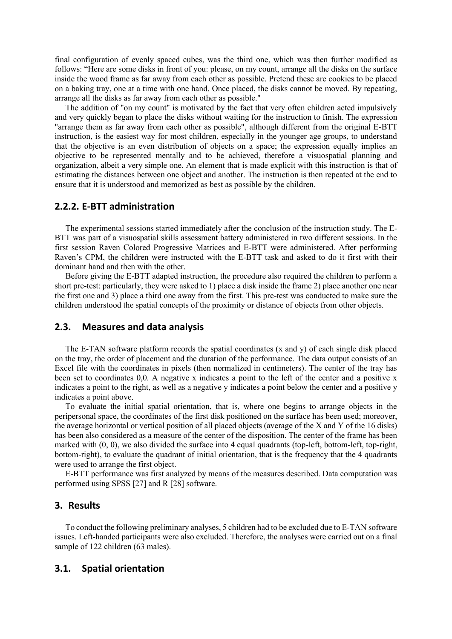final configuration of evenly spaced cubes, was the third one, which was then further modified as follows: "Here are some disks in front of you: please, on my count, arrange all the disks on the surface inside the wood frame as far away from each other as possible. Pretend these are cookies to be placed on a baking tray, one at a time with one hand. Once placed, the disks cannot be moved. By repeating, arrange all the disks as far away from each other as possible."

The addition of "on my count" is motivated by the fact that very often children acted impulsively and very quickly began to place the disks without waiting for the instruction to finish. The expression "arrange them as far away from each other as possible", although different from the original E-BTT instruction, is the easiest way for most children, especially in the younger age groups, to understand that the objective is an even distribution of objects on a space; the expression equally implies an objective to be represented mentally and to be achieved, therefore a visuospatial planning and organization, albeit a very simple one. An element that is made explicit with this instruction is that of estimating the distances between one object and another. The instruction is then repeated at the end to ensure that it is understood and memorized as best as possible by the children.

# **2.2.2. E-BTT administration**

The experimental sessions started immediately after the conclusion of the instruction study. The E-BTT was part of a visuospatial skills assessment battery administered in two different sessions. In the first session Raven Colored Progressive Matrices and E-BTT were administered. After performing Raven's CPM, the children were instructed with the E-BTT task and asked to do it first with their dominant hand and then with the other.

Before giving the E-BTT adapted instruction, the procedure also required the children to perform a short pre-test: particularly, they were asked to 1) place a disk inside the frame 2) place another one near the first one and 3) place a third one away from the first. This pre-test was conducted to make sure the children understood the spatial concepts of the proximity or distance of objects from other objects.

# **2.3. Measures and data analysis**

The E-TAN software platform records the spatial coordinates (x and y) of each single disk placed on the tray, the order of placement and the duration of the performance. The data output consists of an Excel file with the coordinates in pixels (then normalized in centimeters). The center of the tray has been set to coordinates 0,0. A negative x indicates a point to the left of the center and a positive x indicates a point to the right, as well as a negative y indicates a point below the center and a positive y indicates a point above.

To evaluate the initial spatial orientation, that is, where one begins to arrange objects in the peripersonal space, the coordinates of the first disk positioned on the surface has been used; moreover, the average horizontal or vertical position of all placed objects (average of the X and Y of the 16 disks) has been also considered as a measure of the center of the disposition. The center of the frame has been marked with (0, 0), we also divided the surface into 4 equal quadrants (top-left, bottom-left, top-right, bottom-right), to evaluate the quadrant of initial orientation, that is the frequency that the 4 quadrants were used to arrange the first object.

E-BTT performance was first analyzed by means of the measures described. Data computation was performed using SPSS [27] and R [28] software.

# **3. Results**

To conduct the following preliminary analyses, 5 children had to be excluded due to E-TAN software issues. Left-handed participants were also excluded. Therefore, the analyses were carried out on a final sample of 122 children (63 males).

# **3.1. Spatial orientation**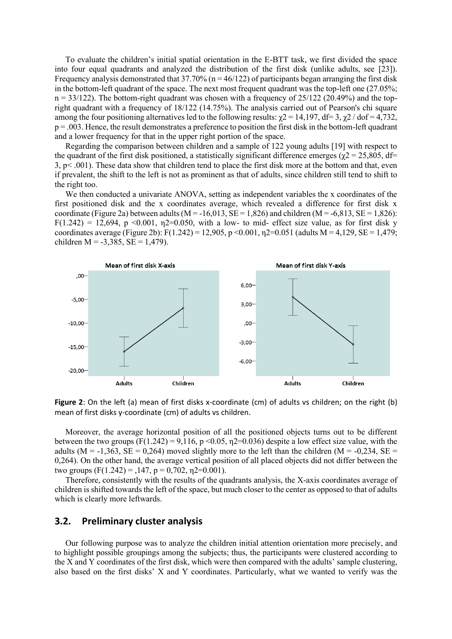To evaluate the children's initial spatial orientation in the E-BTT task, we first divided the space into four equal quadrants and analyzed the distribution of the first disk (unlike adults, see [23]). Frequency analysis demonstrated that  $37.70\%$  (n = 46/122) of participants began arranging the first disk in the bottom-left quadrant of the space. The next most frequent quadrant was the top-left one (27.05%;  $n = 33/122$ ). The bottom-right quadrant was chosen with a frequency of  $25/122$  (20.49%) and the topright quadrant with a frequency of 18/122 (14.75%). The analysis carried out of Pearson's chi square among the four positioning alternatives led to the following results:  $\chi$ 2 = 14,197, df= 3,  $\chi$ 2 / dof = 4,732,  $p = 0.003$ . Hence, the result demonstrates a preference to position the first disk in the bottom-left quadrant and a lower frequency for that in the upper right portion of the space.

Regarding the comparison between children and a sample of 122 young adults [19] with respect to the quadrant of the first disk positioned, a statistically significant difference emerges ( $\chi$ 2 = 25,805, df=  $3, p< 0.001$ ). These data show that children tend to place the first disk more at the bottom and that, even if prevalent, the shift to the left is not as prominent as that of adults, since children still tend to shift to the right too.

We then conducted a univariate ANOVA, setting as independent variables the x coordinates of the first positioned disk and the x coordinates average, which revealed a difference for first disk x coordinate (Figure 2a) between adults ( $M = -16,013$ ,  $SE = 1,826$ ) and children ( $M = -6,813$ ,  $SE = 1,826$ ):  $F(1.242) = 12{,}694$ , p <0.001, n2=0.050, with a low- to mid- effect size value, as for first disk y coordinates average (Figure 2b):  $F(1.242) = 12,905$ , p < 0.001,  $\eta$ 2=0.051 (adults M = 4,129, SE = 1,479; children  $M = -3,385, SE = 1,479$ .



Figure 2: On the left (a) mean of first disks x-coordinate (cm) of adults vs children; on the right (b) mean of first disks y-coordinate (cm) of adults vs children.

Moreover, the average horizontal position of all the positioned objects turns out to be different between the two groups  $(F(1.242) = 9,116, p \le 0.05, \eta2=0.036)$  despite a low effect size value, with the adults ( $M = -1,363$ ,  $SE = 0,264$ ) moved slightly more to the left than the children ( $M = -0,234$ ,  $SE =$ 0,264). On the other hand, the average vertical position of all placed objects did not differ between the two groups  $(F(1.242) = .147, p = 0.702, n2=0.001)$ .

Therefore, consistently with the results of the quadrants analysis, the X-axis coordinates average of children is shifted towards the left of the space, but much closer to the center as opposed to that of adults which is clearly more leftwards.

#### **3.2. Preliminary cluster analysis**

Our following purpose was to analyze the children initial attention orientation more precisely, and to highlight possible groupings among the subjects; thus, the participants were clustered according to the X and Y coordinates of the first disk, which were then compared with the adults' sample clustering, also based on the first disks' X and Y coordinates. Particularly, what we wanted to verify was the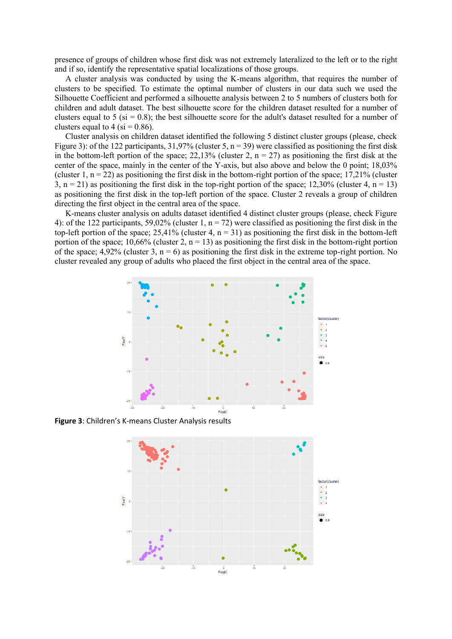presence of groups of children whose first disk was not extremely lateralized to the left or to the right and if so, identify the representative spatial localizations of those groups.

A cluster analysis was conducted by using the K-means algorithm, that requires the number of clusters to be specified. To estimate the optimal number of clusters in our data such we used the Silhouette Coefficient and performed a silhouette analysis between 2 to 5 numbers of clusters both for children and adult dataset. The best silhouette score for the children dataset resulted for a number of clusters equal to 5 ( $si = 0.8$ ); the best silhouette score for the adult's dataset resulted for a number of clusters equal to 4 ( $si = 0.86$ ).

Cluster analysis on children dataset identified the following 5 distinct cluster groups (please, check Figure 3): of the 122 participants,  $31,97\%$  (cluster 5, n = 39) were classified as positioning the first disk in the bottom-left portion of the space; 22,13% (cluster 2,  $n = 27$ ) as positioning the first disk at the center of the space, mainly in the center of the Y-axis, but also above and below the 0 point; 18,03% (cluster 1,  $n = 22$ ) as positioning the first disk in the bottom-right portion of the space; 17,21% (cluster 3, n = 21) as positioning the first disk in the top-right portion of the space; 12,30% (cluster 4, n = 13) as positioning the first disk in the top-left portion of the space. Cluster 2 reveals a group of children directing the first object in the central area of the space.

K-means cluster analysis on adults dataset identified 4 distinct cluster groups (please, check Figure 4): of the 122 participants, 59,02% (cluster 1,  $n = 72$ ) were classified as positioning the first disk in the top-left portion of the space;  $25,41\%$  (cluster 4, n = 31) as positioning the first disk in the bottom-left portion of the space;  $10,66\%$  (cluster 2, n = 13) as positioning the first disk in the bottom-right portion of the space;  $4,92\%$  (cluster 3, n = 6) as positioning the first disk in the extreme top-right portion. No cluster revealed any group of adults who placed the first object in the central area of the space.



**Figure 3**: Children's K-means Cluster Analysis results

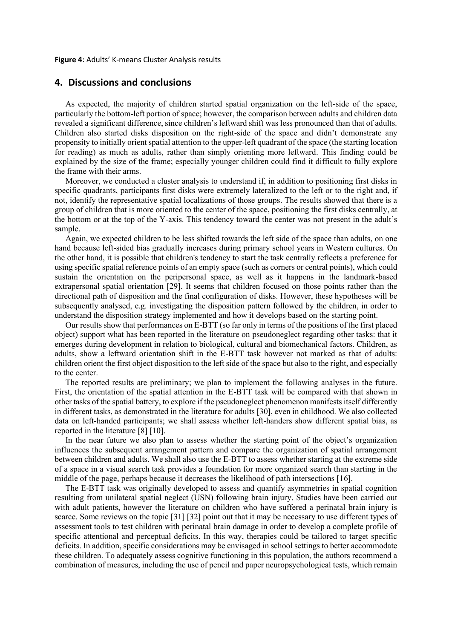# **4. Discussions and conclusions**

As expected, the majority of children started spatial organization on the left-side of the space, particularly the bottom-left portion of space; however, the comparison between adults and children data revealed a significant difference, since children's leftward shift was less pronounced than that of adults. Children also started disks disposition on the right-side of the space and didn't demonstrate any propensity to initially orient spatial attention to the upper-left quadrant of the space (the starting location for reading) as much as adults, rather than simply orienting more leftward. This finding could be explained by the size of the frame; especially younger children could find it difficult to fully explore the frame with their arms.

Moreover, we conducted a cluster analysis to understand if, in addition to positioning first disks in specific quadrants, participants first disks were extremely lateralized to the left or to the right and, if not, identify the representative spatial localizations of those groups. The results showed that there is a group of children that is more oriented to the center of the space, positioning the first disks centrally, at the bottom or at the top of the Y-axis. This tendency toward the center was not present in the adult's sample.

Again, we expected children to be less shifted towards the left side of the space than adults, on one hand because left-sided bias gradually increases during primary school years in Western cultures. On the other hand, it is possible that children's tendency to start the task centrally reflects a preference for using specific spatial reference points of an empty space (such as corners or central points), which could sustain the orientation on the peripersonal space, as well as it happens in the landmark-based extrapersonal spatial orientation [29]. It seems that children focused on those points rather than the directional path of disposition and the final configuration of disks. However, these hypotheses will be subsequently analysed, e.g. investigating the disposition pattern followed by the children, in order to understand the disposition strategy implemented and how it develops based on the starting point.

Our results show that performances on E-BTT (so far only in terms of the positions of the first placed object) support what has been reported in the literature on pseudoneglect regarding other tasks: that it emerges during development in relation to biological, cultural and biomechanical factors. Children, as adults, show a leftward orientation shift in the E-BTT task however not marked as that of adults: children orient the first object disposition to the left side of the space but also to the right, and especially to the center.

The reported results are preliminary; we plan to implement the following analyses in the future. First, the orientation of the spatial attention in the E-BTT task will be compared with that shown in other tasks of the spatial battery, to explore if the pseudoneglect phenomenon manifests itself differently in different tasks, as demonstrated in the literature for adults [30], even in childhood. We also collected data on left-handed participants; we shall assess whether left-handers show different spatial bias, as reported in the literature [8] [10].

In the near future we also plan to assess whether the starting point of the object's organization influences the subsequent arrangement pattern and compare the organization of spatial arrangement between children and adults. We shall also use the E-BTT to assess whether starting at the extreme side of a space in a visual search task provides a foundation for more organized search than starting in the middle of the page, perhaps because it decreases the likelihood of path intersections [16].

The E-BTT task was originally developed to assess and quantify asymmetries in spatial cognition resulting from unilateral spatial neglect (USN) following brain injury. Studies have been carried out with adult patients, however the literature on children who have suffered a perinatal brain injury is scarce. Some reviews on the topic [31] [32] point out that it may be necessary to use different types of assessment tools to test children with perinatal brain damage in order to develop a complete profile of specific attentional and perceptual deficits. In this way, therapies could be tailored to target specific deficits. In addition, specific considerations may be envisaged in school settings to better accommodate these children. To adequately assess cognitive functioning in this population, the authors recommend a combination of measures, including the use of pencil and paper neuropsychological tests, which remain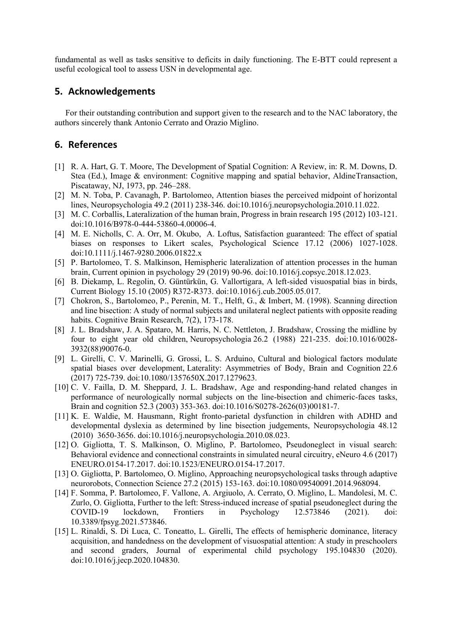fundamental as well as tasks sensitive to deficits in daily functioning. The E-BTT could represent a useful ecological tool to assess USN in developmental age.

# **5. Acknowledgements**

For their outstanding contribution and support given to the research and to the NAC laboratory, the authors sincerely thank Antonio Cerrato and Orazio Miglino.

# **6. References**

- [1] R. A. Hart, G. T. Moore, The Development of Spatial Cognition: A Review, in: R. M. Downs, D. Stea (Ed.), Image & environment: Cognitive mapping and spatial behavior, AldineTransaction, Piscataway, NJ, 1973, pp. 246–288.
- [2] M. N. Toba, P. Cavanagh, P. Bartolomeo, Attention biases the perceived midpoint of horizontal lines, Neuropsychologia 49.2 (2011) 238-346. doi:10.1016/j.neuropsychologia.2010.11.022.
- [3] M. C. Corballis, Lateralization of the human brain, Progress in brain research 195 (2012) 103-121. doi:10.1016/B978-0-444-53860-4.00006-4.
- [4] M. E. Nicholls, C. A. Orr, M. Okubo, A. Loftus, Satisfaction guaranteed: The effect of spatial biases on responses to Likert scales, Psychological Science 17.12 (2006) 1027-1028. doi:10.1111/j.1467-9280.2006.01822.x
- [5] P. Bartolomeo, T. S. Malkinson, Hemispheric lateralization of attention processes in the human brain, Current opinion in psychology 29 (2019) 90-96. doi:10.1016/j.copsyc.2018.12.023.
- [6] B. Diekamp, L. Regolin, O. Güntürkün, G. Vallortigara, A left-sided visuospatial bias in birds, Current Biology 15.10 (2005) R372-R373. doi:10.1016/j.cub.2005.05.017.
- [7] Chokron, S., Bartolomeo, P., Perenin, M. T., Helft, G., & Imbert, M. (1998). Scanning direction and line bisection: A study of normal subjects and unilateral neglect patients with opposite reading habits. Cognitive Brain Research, 7(2), 173-178.
- [8] J. L. Bradshaw, J. A. Spataro, M. Harris, N. C. Nettleton, J. Bradshaw, Crossing the midline by four to eight year old children, Neuropsychologia 26.2 (1988) 221-235. doi:10.1016/0028- 3932(88)90076-0.
- [9] L. Girelli, C. V. Marinelli, G. Grossi, L. S. Arduino, Cultural and biological factors modulate spatial biases over development, Laterality: Asymmetries of Body, Brain and Cognition 22.6 (2017) 725-739. doi:10.1080/1357650X.2017.1279623.
- [10] C. V. Failla, D. M. Sheppard, J. L. Bradshaw, Age and responding-hand related changes in performance of neurologically normal subjects on the line-bisection and chimeric-faces tasks, Brain and cognition 52.3 (2003) 353-363. doi:10.1016/S0278-2626(03)00181-7.
- [11] K. E. Waldie, M. Hausmann, Right fronto-parietal dysfunction in children with ADHD and developmental dyslexia as determined by line bisection judgements, Neuropsychologia 48.12 (2010) 3650-3656. doi:10.1016/j.neuropsychologia.2010.08.023.
- [12] O. Gigliotta, T. S. Malkinson, O. Miglino, P. Bartolomeo, Pseudoneglect in visual search: Behavioral evidence and connectional constraints in simulated neural circuitry, eNeuro 4.6 (2017) ENEURO.0154-17.2017. doi:10.1523/ENEURO.0154-17.2017.
- [13] O. Gigliotta, P. Bartolomeo, O. Miglino, Approaching neuropsychological tasks through adaptive neurorobots, Connection Science 27.2 (2015) 153-163. doi:10.1080/09540091.2014.968094.
- [14] F. Somma, P. Bartolomeo, F. Vallone, A. Argiuolo, A. Cerrato, O. Miglino, L. Mandolesi, M. C. Zurlo, O. Gigliotta, Further to the left: Stress-induced increase of spatial pseudoneglect during the COVID-19 lockdown, Frontiers in Psychology 12.573846 (2021). doi: 10.3389/fpsyg.2021.573846.
- [15] L. Rinaldi, S. Di Luca, C. Toneatto, L. Girelli, The effects of hemispheric dominance, literacy acquisition, and handedness on the development of visuospatial attention: A study in preschoolers and second graders, Journal of experimental child psychology 195.104830 (2020). doi:10.1016/j.jecp.2020.104830.